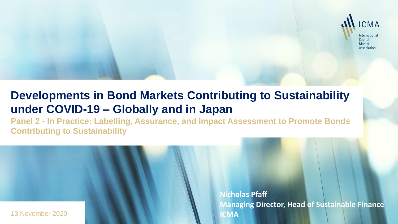

# **Developments in Bond Markets Contributing to Sustainability under COVID-19 – Globally and in Japan**

**Panel 2 - In Practice: Labelling, Assurance, and Impact Assessment to Promote Bonds Contributing to Sustainability**



**Nicholas Pfaff Managing Director, Head of Sustainable Finance ICMA**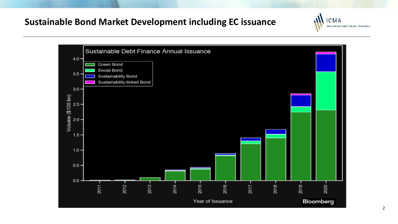## **Sustainable Bond Market Development including EC issuance**



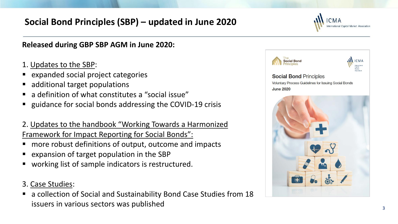# **Social Bond Principles (SBP) – updated in June 2020**

### **Released during GBP SBP AGM in June 2020:**

- 1. Updates to the SBP:
- expanded social project categories
- additional target populations
- a definition of what constitutes a "social issue"
- guidance for social bonds addressing the COVID-19 crisis

2. Updates to the handbook "Working Towards a Harmonized Framework for Impact Reporting for Social Bonds":

- more robust definitions of output, outcome and impacts
- expansion of target population in the SBP
- working list of sample indicators is restructured.
- 3. Case Studies:
- a collection of Social and Sustainability Bond Case Studies from 18 issuers in various sectors was published

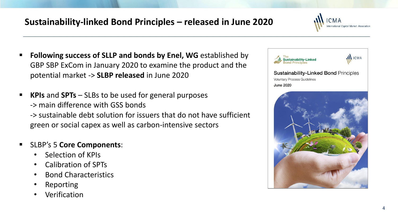# **Sustainability-linked Bond Principles – released in June 2020**



- **Following success of SLLP and bonds by Enel, WG** established by GBP SBP ExCom in January 2020 to examine the product and the potential market -> **SLBP released** in June 2020
- **KPIs** and **SPTs** SLBs to be used for general purposes -> main difference with GSS bonds -> sustainable debt solution for issuers that do not have sufficient green or social capex as well as carbon-intensive sectors
- SLBP's 5 **Core Components**:
	- Selection of KPIs
	- Calibration of SPTs
	- Bond Characteristics
	- **Reporting**
	- **Verification**



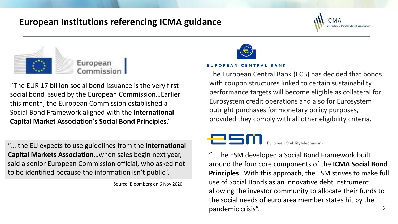## **European Institutions referencing ICMA guidance**



"The EUR 17 billion social bond issuance is the very first social bond issued by the European Commission…Earlier this month, the European Commission established a Social Bond Framework aligned with the **International Capital Market Association's Social Bond Principles**."

"… the EU expects to use guidelines from the **International Capital Markets Association**…when sales begin next year, said a senior European Commission official, who asked not to be identified because the information isn't public".

Source: Bloomberg on 6 Nov 2020



#### **EUROPEAN CENTRAL BANK**

The European Central Bank (ECB) has decided that bonds with coupon structures linked to certain sustainability performance targets will become eligible as collateral for Eurosystem credit operations and also for Eurosystem outright purchases for monetary policy purposes, provided they comply with all other eligibility criteria.

### esn European Stability Mechanism

5 "…The ESM developed a Social Bond Framework built around the four core components of the **ICMA Social Bond Principles**…With this approach, the ESM strives to make full use of Social Bonds as an innovative debt instrument allowing the investor community to allocate their funds to the social needs of euro area member states hit by the pandemic crisis".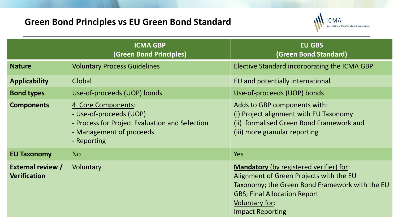# **Green Bond Principles vs EU Green Bond Standard**



|                                                 | <b>ICMA GBP</b><br>(Green Bond Principles)                                                                                                 | <b>EU GBS</b><br>(Green Bond Standard)                                                                                                                                                                                   |
|-------------------------------------------------|--------------------------------------------------------------------------------------------------------------------------------------------|--------------------------------------------------------------------------------------------------------------------------------------------------------------------------------------------------------------------------|
| <b>Nature</b>                                   | <b>Voluntary Process Guidelines</b>                                                                                                        | Elective Standard incorporating the ICMA GBP                                                                                                                                                                             |
| <b>Applicability</b>                            | Global                                                                                                                                     | EU and potentially international                                                                                                                                                                                         |
| <b>Bond types</b>                               | Use-of-proceeds (UOP) bonds                                                                                                                | Use-of-proceeds (UOP) bonds                                                                                                                                                                                              |
| <b>Components</b>                               | 4 Core Components:<br>- Use-of-proceeds (UOP)<br>- Process for Project Evaluation and Selection<br>- Management of proceeds<br>- Reporting | Adds to GBP components with:<br>(i) Project alignment with EU Taxonomy<br>(ii) formalised Green Bond Framework and<br>(iii) more granular reporting                                                                      |
| <b>EU Taxonomy</b>                              | <b>No</b>                                                                                                                                  | <b>Yes</b>                                                                                                                                                                                                               |
| <b>External review /</b><br><b>Verification</b> | Voluntary                                                                                                                                  | Mandatory (by registered verifier) for:<br>Alignment of Green Projects with the EU<br>Taxonomy; the Green Bond Framework with the EU<br><b>GBS; Final Allocation Report</b><br>Voluntary for:<br><b>Impact Reporting</b> |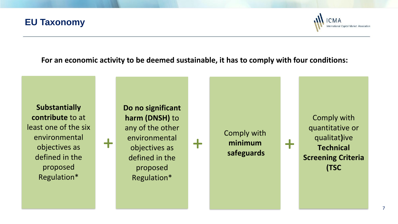## **EU Taxonomy**



**For an economic activity to be deemed sustainable, it has to comply with four conditions:** 

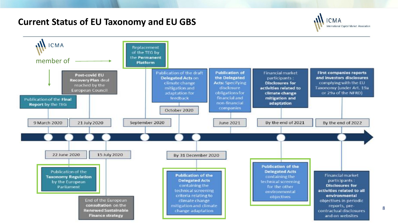### **Current Status of EU Taxonomy and EU GBS**



8